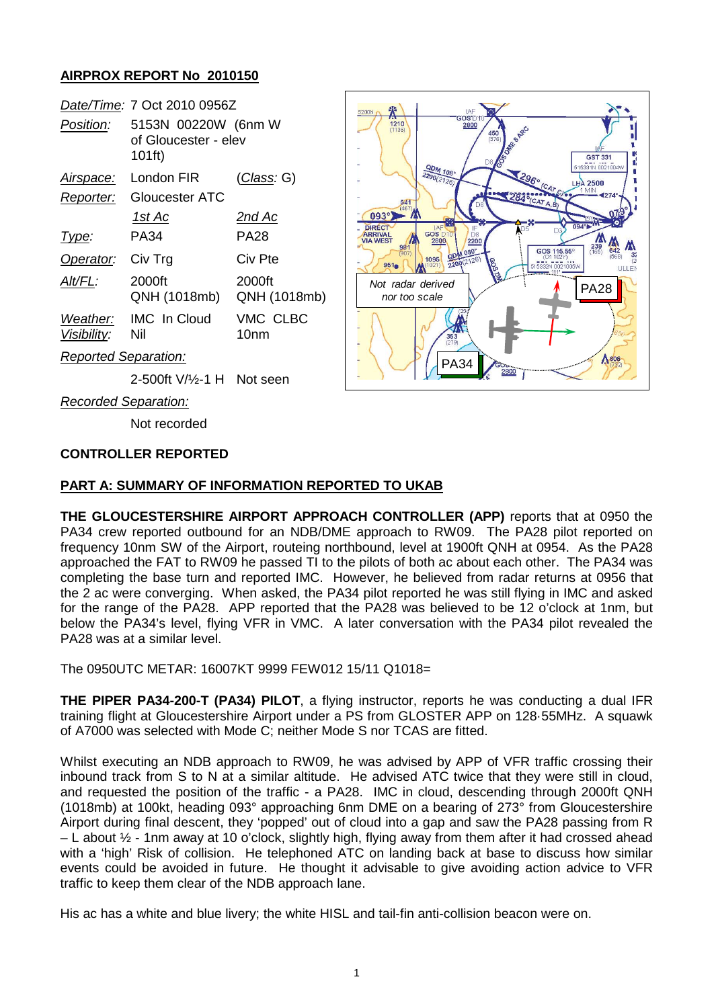## **AIRPROX REPORT No 2010150**

|                         | Date/Time: 7 Oct 2010 0956Z                           |                        |
|-------------------------|-------------------------------------------------------|------------------------|
| <i>Position:</i>        | 5153N 00220W (6nm W<br>of Gloucester - elev<br>101ft) |                        |
| Airspace:               | London FIR                                            | <u>(Class</u> : G)     |
| Reporter:               | Gloucester ATC                                        |                        |
|                         | <u> 1st Ac</u>                                        | 2nd Ac                 |
| Type:                   | PA34                                                  | <b>PA28</b>            |
| Operator:               | Civ Trg                                               | Civ Pte                |
| Alt/FL:                 | 2000ft<br>QNH (1018mb)                                | 2000ft<br>QNH (1018mb) |
| Weather:<br>Visibility: | <b>IMC</b> In Cloud<br>Nil                            | VMC CLBC<br>10nm       |
|                         |                                                       |                        |



*Reported Separation:*

2-500ft V/½-1 H Not seen

*Recorded Separation:*

Not recorded

### **CONTROLLER REPORTED**

### **PART A: SUMMARY OF INFORMATION REPORTED TO UKAB**

**THE GLOUCESTERSHIRE AIRPORT APPROACH CONTROLLER (APP)** reports that at 0950 the PA34 crew reported outbound for an NDB/DME approach to RW09. The PA28 pilot reported on frequency 10nm SW of the Airport, routeing northbound, level at 1900ft QNH at 0954. As the PA28 approached the FAT to RW09 he passed TI to the pilots of both ac about each other. The PA34 was completing the base turn and reported IMC. However, he believed from radar returns at 0956 that the 2 ac were converging. When asked, the PA34 pilot reported he was still flying in IMC and asked for the range of the PA28. APP reported that the PA28 was believed to be 12 o'clock at 1nm, but below the PA34's level, flying VFR in VMC. A later conversation with the PA34 pilot revealed the PA28 was at a similar level.

The 0950UTC METAR: 16007KT 9999 FEW012 15/11 Q1018=

**THE PIPER PA34-200-T (PA34) PILOT**, a flying instructor, reports he was conducting a dual IFR training flight at Gloucestershire Airport under a PS from GLOSTER APP on 128·55MHz. A squawk of A7000 was selected with Mode C; neither Mode S nor TCAS are fitted.

Whilst executing an NDB approach to RW09, he was advised by APP of VFR traffic crossing their inbound track from S to N at a similar altitude. He advised ATC twice that they were still in cloud, and requested the position of the traffic - a PA28. IMC in cloud, descending through 2000ft QNH (1018mb) at 100kt, heading 093° approaching 6nm DME on a bearing of 273° from Gloucestershire Airport during final descent, they 'popped' out of cloud into a gap and saw the PA28 passing from R – L about ½ - 1nm away at 10 o'clock, slightly high, flying away from them after it had crossed ahead with a 'high' Risk of collision. He telephoned ATC on landing back at base to discuss how similar events could be avoided in future. He thought it advisable to give avoiding action advice to VFR traffic to keep them clear of the NDB approach lane.

His ac has a white and blue livery; the white HISL and tail-fin anti-collision beacon were on.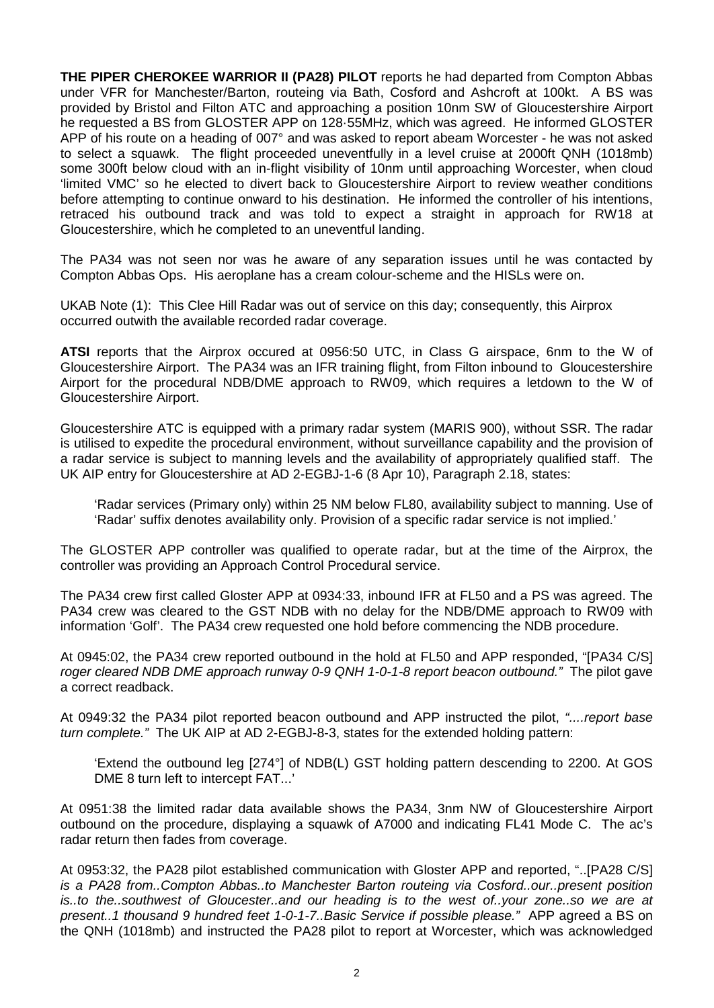**THE PIPER CHEROKEE WARRIOR II (PA28) PILOT** reports he had departed from Compton Abbas under VFR for Manchester/Barton, routeing via Bath, Cosford and Ashcroft at 100kt. A BS was provided by Bristol and Filton ATC and approaching a position 10nm SW of Gloucestershire Airport he requested a BS from GLOSTER APP on 128·55MHz, which was agreed. He informed GLOSTER APP of his route on a heading of 007° and was asked to report abeam Worcester - he was not asked to select a squawk. The flight proceeded uneventfully in a level cruise at 2000ft QNH (1018mb) some 300ft below cloud with an in-flight visibility of 10nm until approaching Worcester, when cloud 'limited VMC' so he elected to divert back to Gloucestershire Airport to review weather conditions before attempting to continue onward to his destination. He informed the controller of his intentions, retraced his outbound track and was told to expect a straight in approach for RW18 at Gloucestershire, which he completed to an uneventful landing.

The PA34 was not seen nor was he aware of any separation issues until he was contacted by Compton Abbas Ops. His aeroplane has a cream colour-scheme and the HISLs were on.

UKAB Note (1): This Clee Hill Radar was out of service on this day; consequently, this Airprox occurred outwith the available recorded radar coverage.

**ATSI** reports that the Airprox occured at 0956:50 UTC, in Class G airspace, 6nm to the W of Gloucestershire Airport. The PA34 was an IFR training flight, from Filton inbound to Gloucestershire Airport for the procedural NDB/DME approach to RW09, which requires a letdown to the W of Gloucestershire Airport.

Gloucestershire ATC is equipped with a primary radar system (MARIS 900), without SSR. The radar is utilised to expedite the procedural environment, without surveillance capability and the provision of a radar service is subject to manning levels and the availability of appropriately qualified staff. The UK AIP entry for Gloucestershire at AD 2-EGBJ-1-6 (8 Apr 10), Paragraph 2.18, states:

'Radar services (Primary only) within 25 NM below FL80, availability subject to manning. Use of 'Radar' suffix denotes availability only. Provision of a specific radar service is not implied.'

The GLOSTER APP controller was qualified to operate radar, but at the time of the Airprox, the controller was providing an Approach Control Procedural service.

The PA34 crew first called Gloster APP at 0934:33, inbound IFR at FL50 and a PS was agreed. The PA34 crew was cleared to the GST NDB with no delay for the NDB/DME approach to RW09 with information 'Golf'. The PA34 crew requested one hold before commencing the NDB procedure.

At 0945:02, the PA34 crew reported outbound in the hold at FL50 and APP responded, "[PA34 C/S] *roger cleared NDB DME approach runway 0-9 QNH 1-0-1-8 report beacon outbound."* The pilot gave a correct readback.

At 0949:32 the PA34 pilot reported beacon outbound and APP instructed the pilot, *"....report base turn complete."* The UK AIP at AD 2-EGBJ-8-3, states for the extended holding pattern:

'Extend the outbound leg [274°] of NDB(L) GST holding pattern descending to 2200. At GOS DME 8 turn left to intercept FAT...'

At 0951:38 the limited radar data available shows the PA34, 3nm NW of Gloucestershire Airport outbound on the procedure, displaying a squawk of A7000 and indicating FL41 Mode C. The ac's radar return then fades from coverage.

At 0953:32, the PA28 pilot established communication with Gloster APP and reported, "..[PA28 C/S] *is a PA28 from..Compton Abbas..to Manchester Barton routeing via Cosford..our..present position is..to the..southwest of Gloucester..and our heading is to the west of..your zone..so we are at present..1 thousand 9 hundred feet 1-0-1-7..Basic Service if possible please."* APP agreed a BS on the QNH (1018mb) and instructed the PA28 pilot to report at Worcester, which was acknowledged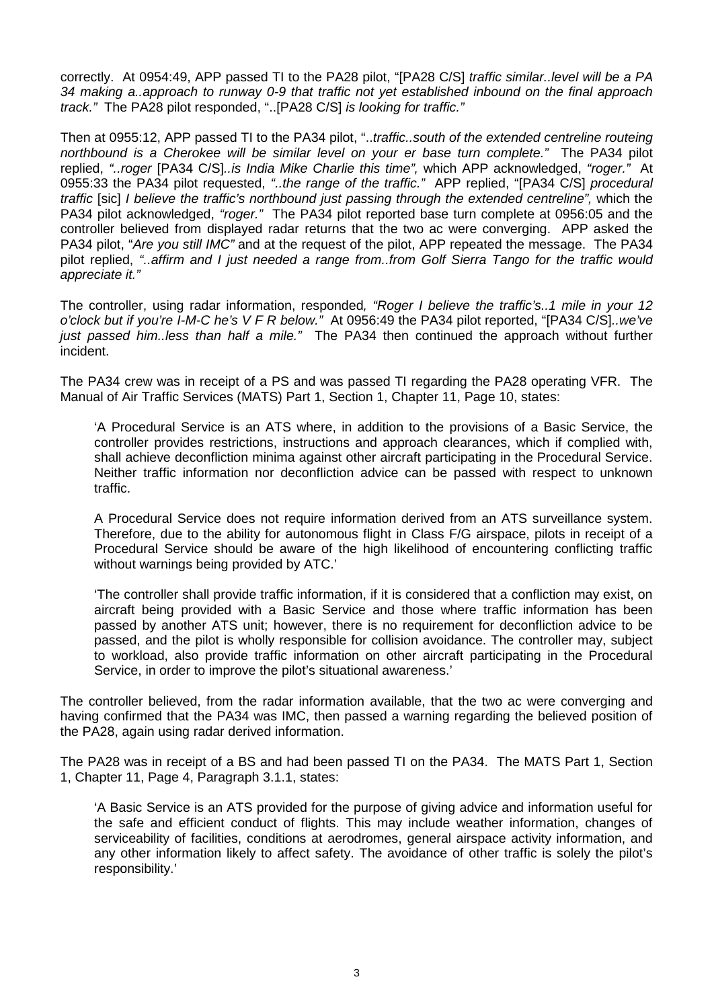correctly. At 0954:49, APP passed TI to the PA28 pilot, "[PA28 C/S] *traffic similar..level will be a PA 34 making a..approach to runway 0-9 that traffic not yet established inbound on the final approach track."* The PA28 pilot responded, "..[PA28 C/S] *is looking for traffic."*

Then at 0955:12, APP passed TI to the PA34 pilot, "..*traffic..south of the extended centreline routeing northbound is a Cherokee will be similar level on your er base turn complete."* The PA34 pilot replied, *"..roger* [PA34 C/S]*..is India Mike Charlie this time",* which APP acknowledged, *"roger."* At 0955:33 the PA34 pilot requested, *"..the range of the traffic."* APP replied, "[PA34 C/S] *procedural traffic* [sic] *I believe the traffic's northbound just passing through the extended centreline",* which the PA34 pilot acknowledged, *"roger."* The PA34 pilot reported base turn complete at 0956:05 and the controller believed from displayed radar returns that the two ac were converging. APP asked the PA34 pilot, "*Are you still IMC"* and at the request of the pilot, APP repeated the message. The PA34 pilot replied, *"..affirm and I just needed a range from..from Golf Sierra Tango for the traffic would appreciate it."* 

The controller, using radar information, responded*, "Roger I believe the traffic's..1 mile in your 12 o'clock but if you're I-M-C he's V F R below."* At 0956:49 the PA34 pilot reported, "[PA34 C/S]*..we've just passed him..less than half a mile."* The PA34 then continued the approach without further incident.

The PA34 crew was in receipt of a PS and was passed TI regarding the PA28 operating VFR. The Manual of Air Traffic Services (MATS) Part 1, Section 1, Chapter 11, Page 10, states:

'A Procedural Service is an ATS where, in addition to the provisions of a Basic Service, the controller provides restrictions, instructions and approach clearances, which if complied with, shall achieve deconfliction minima against other aircraft participating in the Procedural Service. Neither traffic information nor deconfliction advice can be passed with respect to unknown traffic.

A Procedural Service does not require information derived from an ATS surveillance system. Therefore, due to the ability for autonomous flight in Class F/G airspace, pilots in receipt of a Procedural Service should be aware of the high likelihood of encountering conflicting traffic without warnings being provided by ATC.'

'The controller shall provide traffic information, if it is considered that a confliction may exist, on aircraft being provided with a Basic Service and those where traffic information has been passed by another ATS unit; however, there is no requirement for deconfliction advice to be passed, and the pilot is wholly responsible for collision avoidance. The controller may, subject to workload, also provide traffic information on other aircraft participating in the Procedural Service, in order to improve the pilot's situational awareness.'

The controller believed, from the radar information available, that the two ac were converging and having confirmed that the PA34 was IMC, then passed a warning regarding the believed position of the PA28, again using radar derived information.

The PA28 was in receipt of a BS and had been passed TI on the PA34. The MATS Part 1, Section 1, Chapter 11, Page 4, Paragraph 3.1.1, states:

'A Basic Service is an ATS provided for the purpose of giving advice and information useful for the safe and efficient conduct of flights. This may include weather information, changes of serviceability of facilities, conditions at aerodromes, general airspace activity information, and any other information likely to affect safety. The avoidance of other traffic is solely the pilot's responsibility.'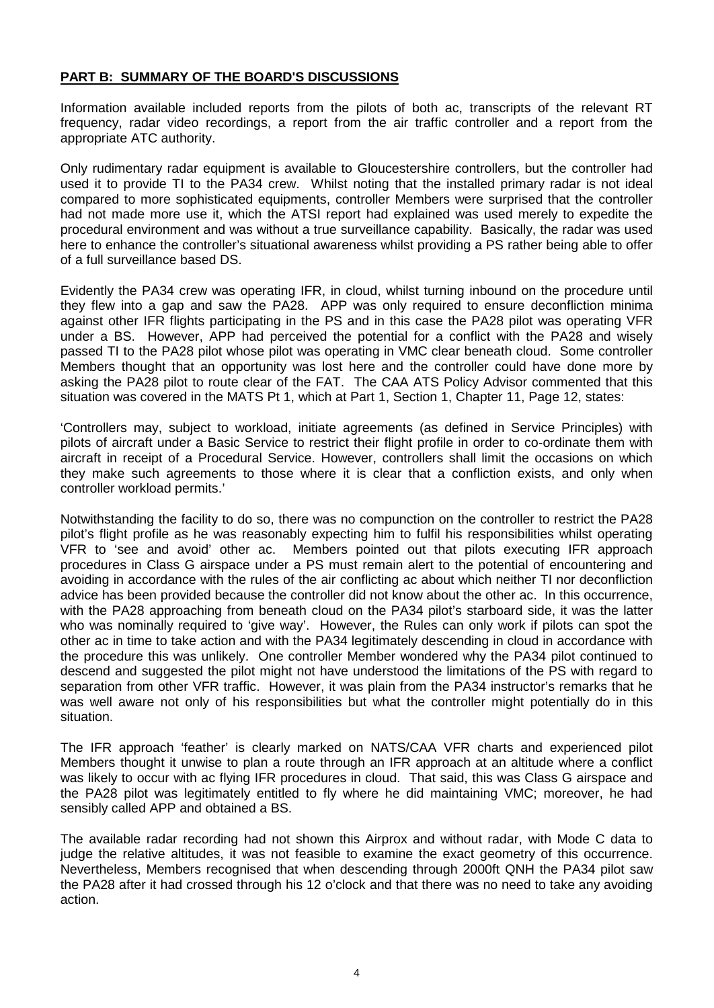### **PART B: SUMMARY OF THE BOARD'S DISCUSSIONS**

Information available included reports from the pilots of both ac, transcripts of the relevant RT frequency, radar video recordings, a report from the air traffic controller and a report from the appropriate ATC authority.

Only rudimentary radar equipment is available to Gloucestershire controllers, but the controller had used it to provide TI to the PA34 crew. Whilst noting that the installed primary radar is not ideal compared to more sophisticated equipments, controller Members were surprised that the controller had not made more use it, which the ATSI report had explained was used merely to expedite the procedural environment and was without a true surveillance capability. Basically, the radar was used here to enhance the controller's situational awareness whilst providing a PS rather being able to offer of a full surveillance based DS.

Evidently the PA34 crew was operating IFR, in cloud, whilst turning inbound on the procedure until they flew into a gap and saw the PA28. APP was only required to ensure deconfliction minima against other IFR flights participating in the PS and in this case the PA28 pilot was operating VFR under a BS. However, APP had perceived the potential for a conflict with the PA28 and wisely passed TI to the PA28 pilot whose pilot was operating in VMC clear beneath cloud. Some controller Members thought that an opportunity was lost here and the controller could have done more by asking the PA28 pilot to route clear of the FAT. The CAA ATS Policy Advisor commented that this situation was covered in the MATS Pt 1, which at Part 1, Section 1, Chapter 11, Page 12, states:

'Controllers may, subject to workload, initiate agreements (as defined in Service Principles) with pilots of aircraft under a Basic Service to restrict their flight profile in order to co-ordinate them with aircraft in receipt of a Procedural Service. However, controllers shall limit the occasions on which they make such agreements to those where it is clear that a confliction exists, and only when controller workload permits.'

Notwithstanding the facility to do so, there was no compunction on the controller to restrict the PA28 pilot's flight profile as he was reasonably expecting him to fulfil his responsibilities whilst operating VFR to 'see and avoid' other ac. Members pointed out that pilots executing IFR approach procedures in Class G airspace under a PS must remain alert to the potential of encountering and avoiding in accordance with the rules of the air conflicting ac about which neither TI nor deconfliction advice has been provided because the controller did not know about the other ac. In this occurrence, with the PA28 approaching from beneath cloud on the PA34 pilot's starboard side, it was the latter who was nominally required to 'give way'. However, the Rules can only work if pilots can spot the other ac in time to take action and with the PA34 legitimately descending in cloud in accordance with the procedure this was unlikely. One controller Member wondered why the PA34 pilot continued to descend and suggested the pilot might not have understood the limitations of the PS with regard to separation from other VFR traffic. However, it was plain from the PA34 instructor's remarks that he was well aware not only of his responsibilities but what the controller might potentially do in this situation.

The IFR approach 'feather' is clearly marked on NATS/CAA VFR charts and experienced pilot Members thought it unwise to plan a route through an IFR approach at an altitude where a conflict was likely to occur with ac flying IFR procedures in cloud. That said, this was Class G airspace and the PA28 pilot was legitimately entitled to fly where he did maintaining VMC; moreover, he had sensibly called APP and obtained a BS.

The available radar recording had not shown this Airprox and without radar, with Mode C data to judge the relative altitudes, it was not feasible to examine the exact geometry of this occurrence. Nevertheless, Members recognised that when descending through 2000ft QNH the PA34 pilot saw the PA28 after it had crossed through his 12 o'clock and that there was no need to take any avoiding action.